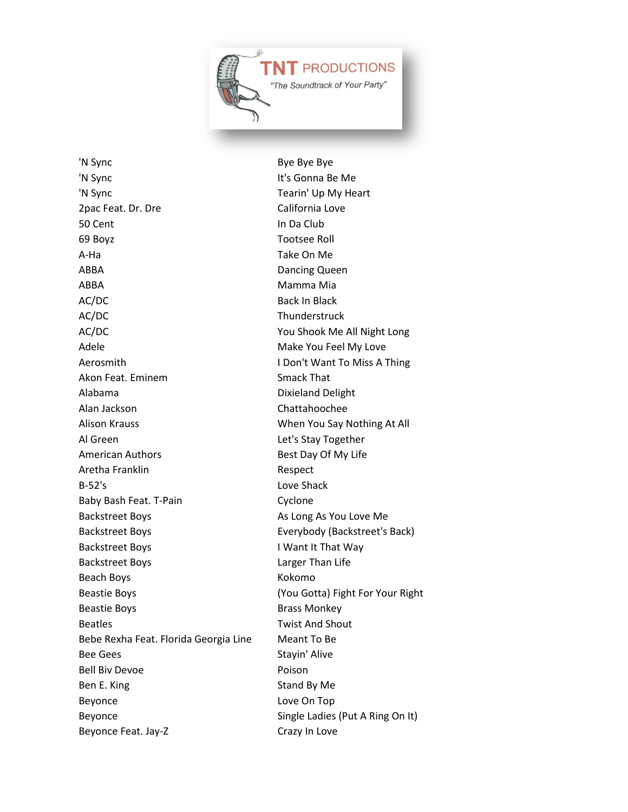

'N Sync Bye Bye Bye 'N Sync It's Gonna Be Me 'N Sync Tearin' Up My Heart 2pac Feat. Dr. Dre California Love 50 Cent In Da Club 69 Boyz Tootsee Roll A-Ha Take On Me ABBA Dancing Queen ABBA Mamma Mia AC/DC Back In Black AC/DC Thunderstruck AC/DC You Shook Me All Night Long Adele Make You Feel My Love Aerosmith I Don't Want To Miss A Thing Akon Feat. Eminem Smack That Alabama Dixieland Delight Alan Jackson Chattahoochee Alison Krauss When You Say Nothing At All Al Green Let's Stay Together American Authors **Best Day Of My Life** Aretha Franklin Respect B-52's Love Shack Baby Bash Feat. T-Pain Cyclone Backstreet Boys **As Long As You Love Me** Backstreet Boys Everybody (Backstreet's Back) Backstreet Boys I Want It That Way Backstreet Boys Larger Than Life Beach Boys **Kokomo** Beastie Boys (You Gotta) Fight For Your Right Beastie Boys **Brass Monkey** Beatles **Beatles Beatles Beatles Beatles Beatles Beatles Beatles Beatles Beatles Beatles Beatles Beatles Beatles Beatles Beatles Beatles Beatles Beatles Beatles Beatles Beatles Bea** Bebe Rexha Feat. Florida Georgia Line Meant To Be Bee Gees
Stayin' Alive Bell Biv Devoe **Poison** Ben E. King Stand By Me Beyonce Love On Top Beyonce Single Ladies (Put A Ring On It) Beyonce Feat. Jay-Z Crazy In Love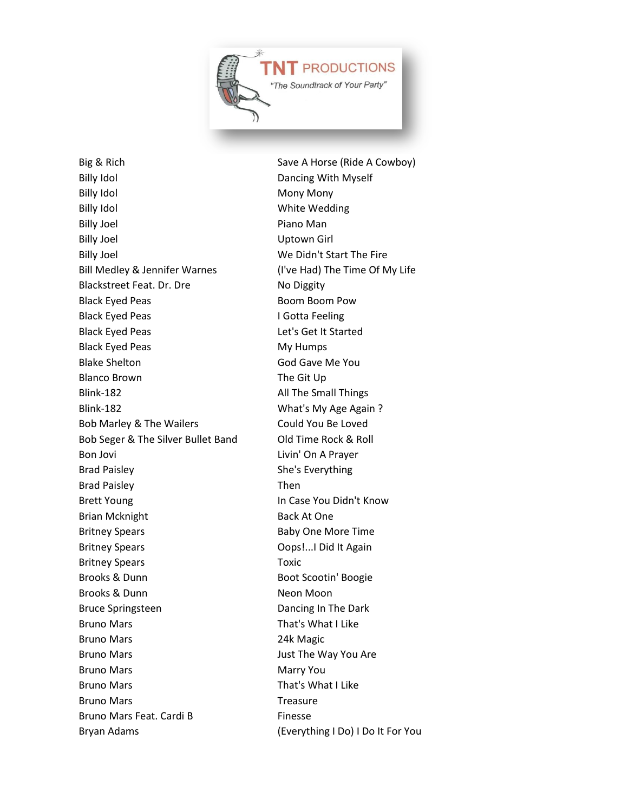

Big & Rich Save A Horse (Ride A Cowboy) Billy Idol **Dancing With Myself** Billy Idol **Mony Mony** Mony Mony Billy Idol **Billy Idol** White Wedding Billy Joel **Piano Man** Billy Joel **Billy Joel** Uptown Girl Billy Joel New York 1980 We Didn't Start The Fire Bill Medley & Jennifer Warnes (I've Had) The Time Of My Life Blackstreet Feat. Dr. Dre No Diggity Black Eyed Peas Boom Boom Pow Black Eyed Peas **I Gotta Feeling** Black Eyed Peas Let's Get It Started Black Eyed Peas My Humps Blake Shelton God Gave Me You Blanco Brown The Git Up Blink-182 All The Small Things Blink-182 What's My Age Again ? Bob Marley & The Wailers Could You Be Loved Bob Seger & The Silver Bullet Band Old Time Rock & Roll Bon Jovi **Livin'** On A Prayer Brad Paisley **She's Everything** Brad Paisley **Then** Brett Young **In Case You Didn't Know** Brian Mcknight Back At One Britney Spears **Baby One More Time** Britney Spears **Constant Constant Constant Constant Constant Constant Constant Constant Constant Constant Constant Constant Constant Constant Constant Constant Constant Constant Constant Constant Constant Constant Constant** Britney Spears Toxic Brooks & Dunn Boot Scootin' Boogie Brooks & Dunn Neon Moon Bruce Springsteen **Dancing In The Dark** Bruno Mars **That's What I Like** Bruno Mars 24k Magic Bruno Mars **Bruno Mars** Just The Way You Are Bruno Mars Marry You Bruno Mars **That's What I Like** Bruno Mars **Treasure** Treasure Bruno Mars Feat. Cardi B Finesse

Bryan Adams (Everything I Do) I Do It For You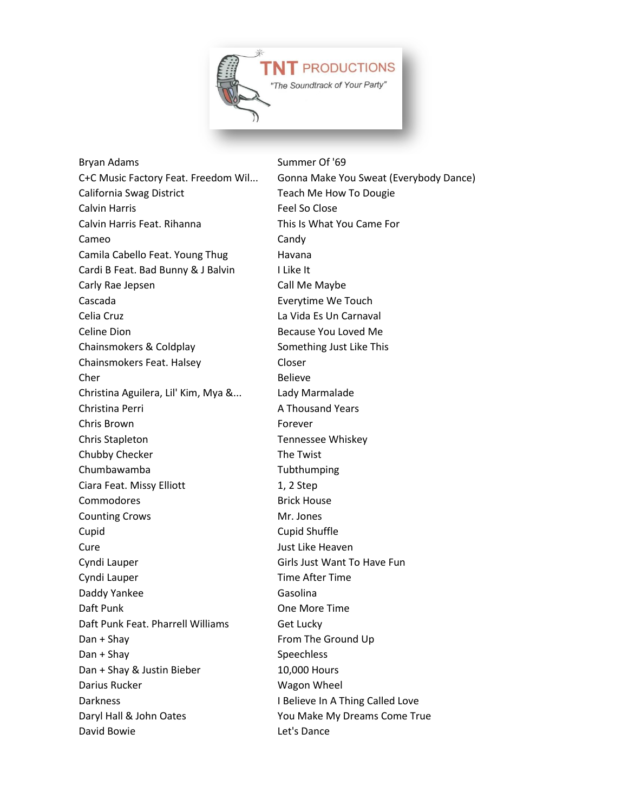

Bryan Adams Summer Of '69 C+C Music Factory Feat. Freedom Wil... Gonna Make You Sweat (Everybody Dance) California Swag District Teach Me How To Dougie Calvin Harris **Feel So Close** Calvin Harris Feat. Rihanna This Is What You Came For Cameo Candy Candy Camila Cabello Feat. Young Thug Havana Cardi B Feat. Bad Bunny & J Balvin I Like It Carly Rae Jepsen Call Me Maybe Cascada Everytime We Touch Celia Cruz La Vida Es Un Carnaval Celine Dion **Because You Loved Me** Chainsmokers & Coldplay Something Just Like This Chainsmokers Feat. Halsey Closer Cher Believe Christina Aguilera, Lil' Kim, Mya &... Lady Marmalade Christina Perri **A Thousand Years** Chris Brown Forever Chris Stapleton Tennessee Whiskey Chubby Checker The Twist Chumbawamba Tubthumping Ciara Feat. Missy Elliott 1, 2 Step Commodores **Brick House** Counting Crows Mr. Jones Cupid Cupid Shuffle Cure **Cure** Just Like Heaven Cyndi Lauper Girls Just Want To Have Fun Cyndi Lauper Time After Time Daddy Yankee Gasolina Daft Punk **Daft Punk** One More Time Daft Punk Feat. Pharrell Williams Get Lucky Dan + Shay From The Ground Up Dan + Shay Speechless Dan + Shay & Justin Bieber 10,000 Hours Darius Rucker National Control of Magon Wheel Darkness **I Believe In A Thing Called Love** Daryl Hall & John Oates You Make My Dreams Come True David Bowie Let's Dance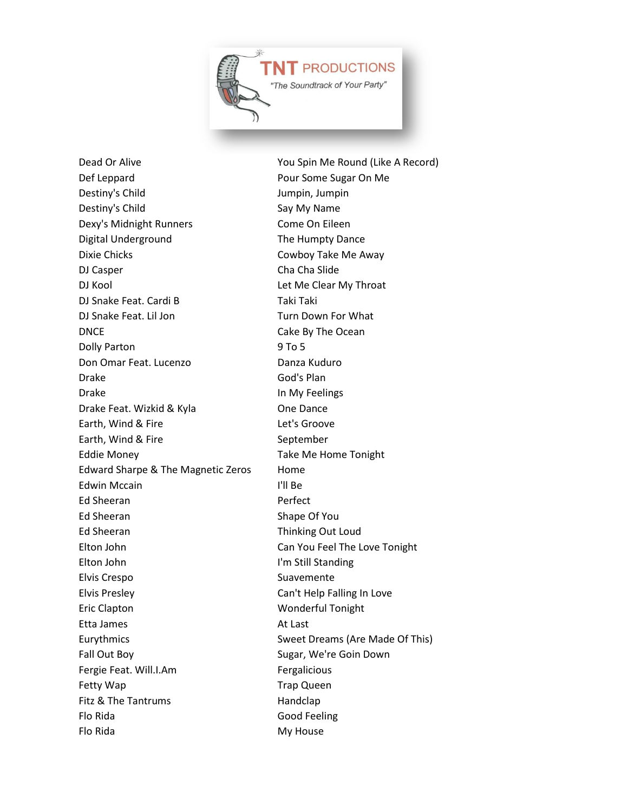

Def Leppard **Pour Some Sugar On Me** Destiny's Child **Impire 1** Jumpin, Jumpin Destiny's Child Say My Name Dexy's Midnight Runners Come On Eileen Digital Underground The Humpty Dance Dixie Chicks Cowboy Take Me Away DJ Casper Cha Cha Slide DJ Kool **DJ** Kool **Let Me Clear My Throat** DJ Snake Feat. Cardi B Taki Taki Taki DJ Snake Feat. Lil Jon Turn Down For What DNCE Cake By The Ocean Dolly Parton 9 To 5 Don Omar Feat. Lucenzo **Danza Kuduro** Drake God's Plan Drake In My Feelings Drake Feat. Wizkid & Kyla **One Dance** Earth, Wind & Fire **Let's Groove** Earth, Wind & Fire September Eddie Money **Take Me Home Tonight** Edward Sharpe & The Magnetic Zeros Home Edwin Mccain **I'll Be** Ed Sheeran **Perfect** Ed Sheeran Shape Of You Ed Sheeran Thinking Out Loud Elton John Can You Feel The Love Tonight Elton John I'm Still Standing Elvis Crespo Suavemente Elvis Presley Can't Help Falling In Love Eric Clapton Wonderful Tonight Etta James **At Last** Eurythmics **Eurythmics** Sweet Dreams (Are Made Of This) Fall Out Boy **Sugar, We're Goin Down** Fergie Feat. Will.I.Am Fergalicious Fetty Wap **Trap Queen** Fitz & The Tantrums Handclap Flo Rida **Good Feeling** Flo Rida My House

Dead Or Alive **No. 2018** You Spin Me Round (Like A Record)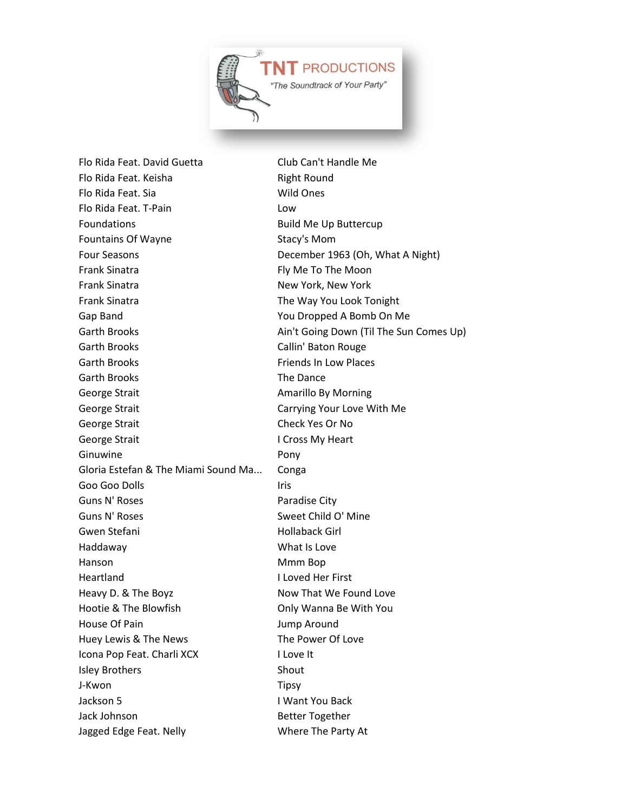

Flo Rida Feat. David Guetta Club Can't Handle Me Flo Rida Feat. Keisha **Right Round** Flo Rida Feat. Sia Wild Ones Flo Rida Feat. T-Pain Low Foundations **Build Me Up Buttercup** Fountains Of Wayne Stacy's Mom Four Seasons **December 1963** (Oh, What A Night) Frank Sinatra **Frank Sinatra** Fly Me To The Moon Frank Sinatra New York, New York, New York Frank Sinatra The Way You Look Tonight Gap Band You Dropped A Bomb On Me Garth Brooks Callin' Baton Rouge Garth Brooks **Friends In Low Places** Garth Brooks The Dance George Strait **Amarillo By Morning** Conservation Amarillo By Morning George Strait **Carrying Your Love With Me** George Strait Check Yes Or No George Strait **I Cross My Heart** Ginuwine **Pony** Gloria Estefan & The Miami Sound Ma... Conga Goo Goo Dolls **Iris** Iris Guns N' Roses **Paradise City** Guns N' Roses Sweet Child O' Mine Gwen Stefani **Hollaback Girl** Haddaway What Is Love Hanson Mmm Bop Heartland I Loved Her First Heavy D. & The Boyz Now That We Found Love Hootie & The Blowfish **Channel State Conly Wanna Be With You** House Of Pain **Array Contract Contract Array Around** Jump Around Huey Lewis & The News The Power Of Love Icona Pop Feat. Charli XCX I Love It **Isley Brothers** Shout J-Kwon Tipsy Jackson 5 I Want You Back Jack Johnson **Better Together** Jagged Edge Feat. Nelly Where The Party At

Garth Brooks **Ain't Going Down (Til The Sun Comes Up)** Ain't Going Down (Til The Sun Comes Up)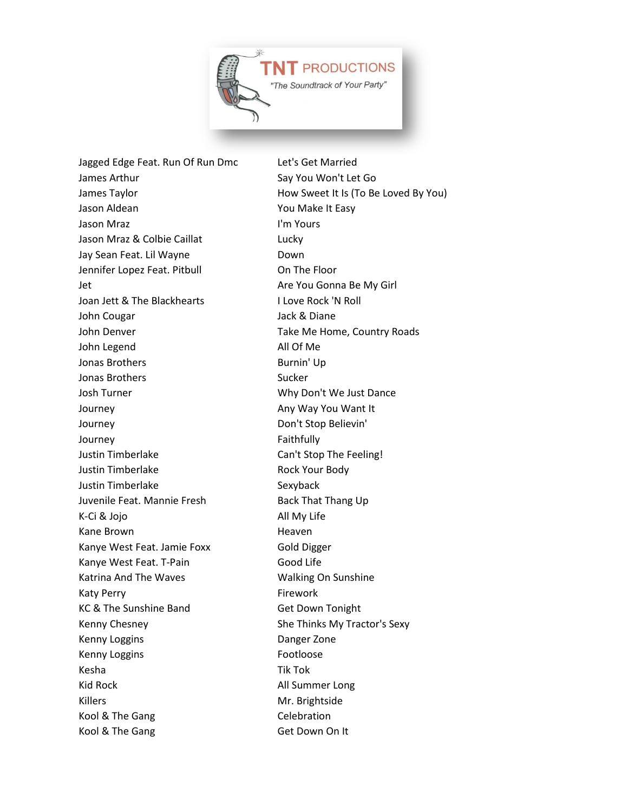

Jagged Edge Feat. Run Of Run Dmc Let's Get Married James Arthur Say You Won't Let Go James Taylor **How Sweet It Is (To Be Loved By You)** Jason Aldean **You Make It Easy** Jason Mraz I'm Yours Jason Mraz & Colbie Caillat Lucky Jay Sean Feat. Lil Wayne **Down** Jennifer Lopez Feat. Pitbull **Communist Conduct Conduct** On The Floor Jet **Are You Gonna Be My Girl** Are You Gonna Be My Girl Joan Jett & The Blackhearts I Love Rock 'N Roll John Cougar Jack & Diane John Denver Take Me Home, Country Roads John Legend All Of Me Jonas Brothers **Burnin'** Up Jonas Brothers Sucker Josh Turner **Mathem** Why Don't We Just Dance Journey **Any Way You Want It** Any Way You Want It Journey Don't Stop Believin' Journey **Faithfully** Justin Timberlake Can't Stop The Feeling! Justin Timberlake Rock Your Body Justin Timberlake Sexyback Juvenile Feat. Mannie Fresh Back That Thang Up K-Ci & Jojo All My Life Kane Brown **Heaven** Heaven Kanye West Feat. Jamie Foxx Gold Digger Kanye West Feat. T-Pain Good Life Katrina And The Waves Walking On Sunshine Katy Perry **Firework** KC & The Sunshine Band Get Down Tonight Kenny Chesney She Thinks My Tractor's Sexy Kenny Loggins **Danger Zone** Kenny Loggins **Footloose** Kesha Tik Tok Kid Rock All Summer Long Killers Mr. Brightside Kool & The Gang Celebration Kool & The Gang Get Down On It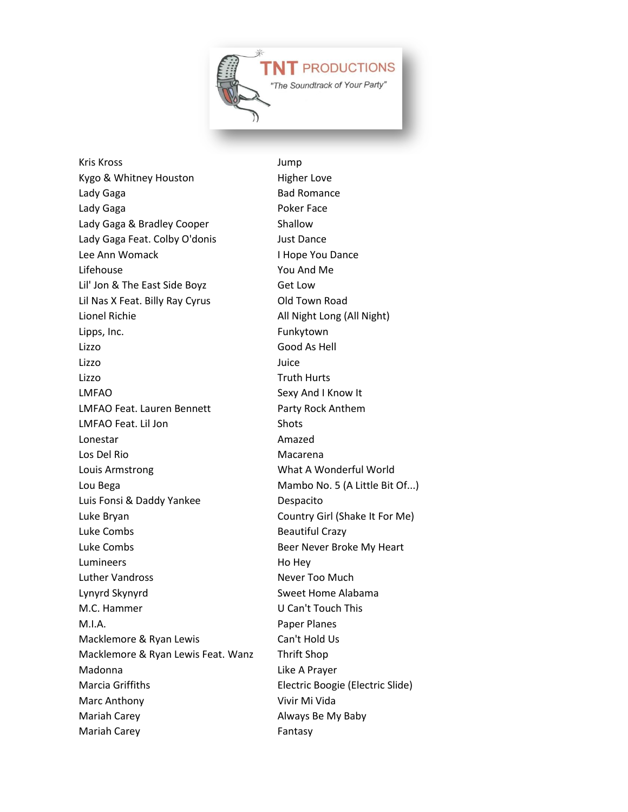

Kris Kross Jump Kygo & Whitney Houston Higher Love Lady Gaga **Bad Romance** Bad Romance Lady Gaga **Poker Face** Lady Gaga & Bradley Cooper Shallow Lady Gaga Feat. Colby O'donis Just Dance Lee Ann Womack **I Hope You Dance** Lifehouse You And Me Lil' Jon & The East Side Boyz Get Low Lil Nas X Feat. Billy Ray Cyrus **Old Town Road** Lionel Richie **All Night Long (All Night)** Lipps, Inc. **Example 2** Funkytown Lizzo Good As Hell Lizzo Juice Lizzo Truth Hurts LMFAO Sexy And I Know It LMFAO Feat. Lauren Bennett Party Rock Anthem LMFAO Feat. Lil Jon Shots Lonestar **Amazed** Los Del Rio **Macarena** Louis Armstrong What A Wonderful World Lou Bega Mambo No. 5 (A Little Bit Of...) Luis Fonsi & Daddy Yankee Despacito Luke Bryan Country Girl (Shake It For Me) Luke Combs **Beautiful Crazy** Luke Combs **Beer Never Broke My Heart** Lumineers Ho Hey Luther Vandross Never Too Much Lynyrd Skynyrd Sweet Home Alabama M.C. Hammer U Can't Touch This M.I.A. Paper Planes Macklemore & Ryan Lewis Can't Hold Us Macklemore & Ryan Lewis Feat. Wanz Thrift Shop Madonna Like A Prayer Marcia Griffiths Electric Boogie (Electric Slide) Marc Anthony **Vivir Mi Vida** Mariah Carey **Always Be My Baby** Mariah Carey **Fantasy**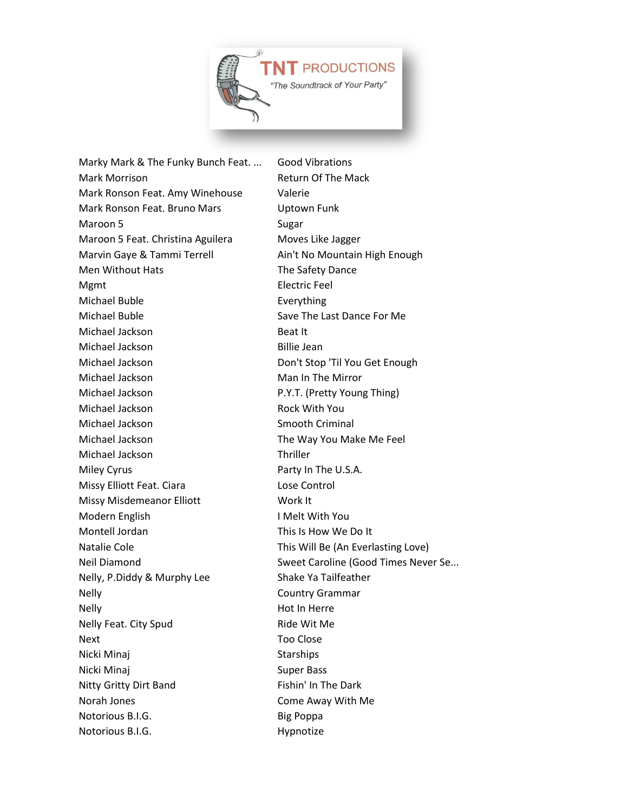

Marky Mark & The Funky Bunch Feat. ... Good Vibrations Mark Morrison **Mark Morrison** Return Of The Mack Mark Ronson Feat. Amy Winehouse Valerie Mark Ronson Feat. Bruno Mars Uptown Funk Maroon 5 Sugar Maroon 5 Feat. Christina Aguilera Moves Like Jagger Marvin Gaye & Tammi Terrell Ain't No Mountain High Enough Men Without Hats The Safety Dance Mgmt **Electric Feel** Michael Buble **Everything** Michael Buble Save The Last Dance For Me Michael Jackson Beat It Michael Jackson Billie Jean Michael Jackson Don't Stop 'Til You Get Enough Michael Jackson Man In The Mirror Michael Jackson P.Y.T. (Pretty Young Thing) Michael Jackson **Rock With You** Michael Jackson Smooth Criminal Michael Jackson **The Way You Make Me Feel** Michael Jackson Thriller Miley Cyrus **Party In The U.S.A.** Missy Elliott Feat. Ciara Lose Control Missy Misdemeanor Elliott Work It Modern English I Melt With You Montell Jordan This Is How We Do It Natalie Cole **This Will Be (An Everlasting Love)** Nelly, P.Diddy & Murphy Lee Shake Ya Tailfeather Nelly Country Grammar Nelly Nelly **Nelly** Nelly **Nelly**  $\qquad \qquad$  Hot In Herre Nelly Feat. City Spud Ride Wit Me Next Too Close Nicki Minaj **Starships** Starships Nicki Minaj **Super Bass** Super Bass Nitty Gritty Dirt Band Fishin' In The Dark Norah Jones **Come Away With Me** Notorious B.I.G. Big Poppa Notorious B.I.G. The Contract of the Hypnotize

Neil Diamond Sweet Caroline (Good Times Never Se...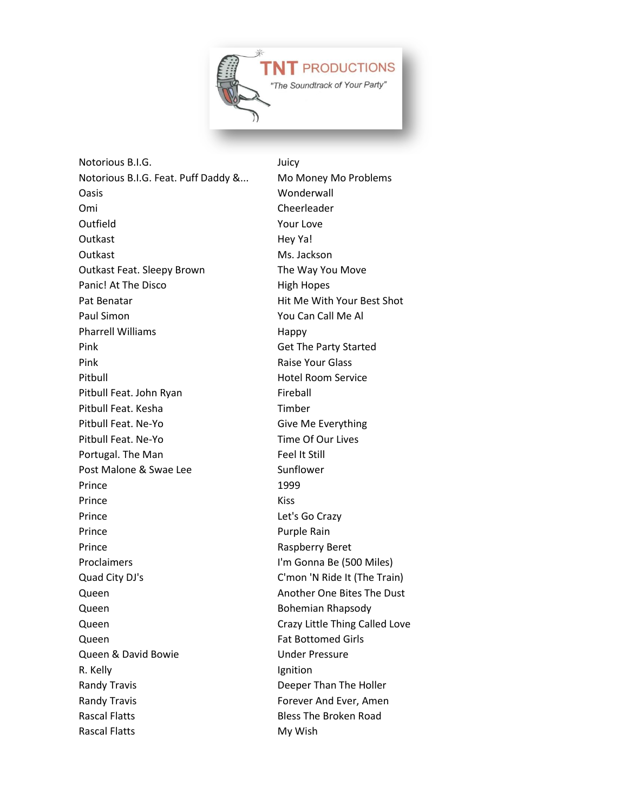

Notorious B.I.G. **Support Contains Studies** Juicy Notorious B.I.G. Feat. Puff Daddy &... Mo Money Mo Problems Oasis Wonderwall Omi Cheerleader Outfield Your Love Outkast Hey Ya! Outkast Ms. Jackson Outkast Feat. Sleepy Brown The Way You Move Panic! At The Disco High Hopes Pat Benatar **Pat Benatar Hit Me With Your Best Shot** Paul Simon **You Can Call Me Al** Pharrell Williams **Happy** Pink Get The Party Started Pink **Pink Raise Your Glass** Pitbull **Hotel Room Service** Pitbull Feat. John Ryan Fireball Pitbull Feat. Kesha Timber Pitbull Feat. Ne-Yo Give Me Everything Pitbull Feat. Ne-Yo Time Of Our Lives Portugal. The Man Feel It Still Post Malone & Swae Lee Sunflower Prince 2012 1999 Prince Kiss Prince Let's Go Crazy Prince Purple Rain Prince Raspberry Beret Proclaimers **I'm Gonna Be (500 Miles)** Quad City DJ's C'mon 'N Ride It (The Train) Queen **Another One Bites The Dust** Queen **Bohemian Rhapsody** Queen Crazy Little Thing Called Love **Queen Fat Bottomed Girls** Queen & David Bowie **National Contract Contract Contract Contract Contract Contract Contract Contract Contract Contract Contract Contract Contract Contract Contract Contract Contract Contract Contract Contract Contract Con** R. Kelly **Ignition** Randy Travis **Example 2** Randy Travis Randy Travis **Forever And Ever, Amen** Rascal Flatts **Bless The Broken Road** Rascal Flatts My Wish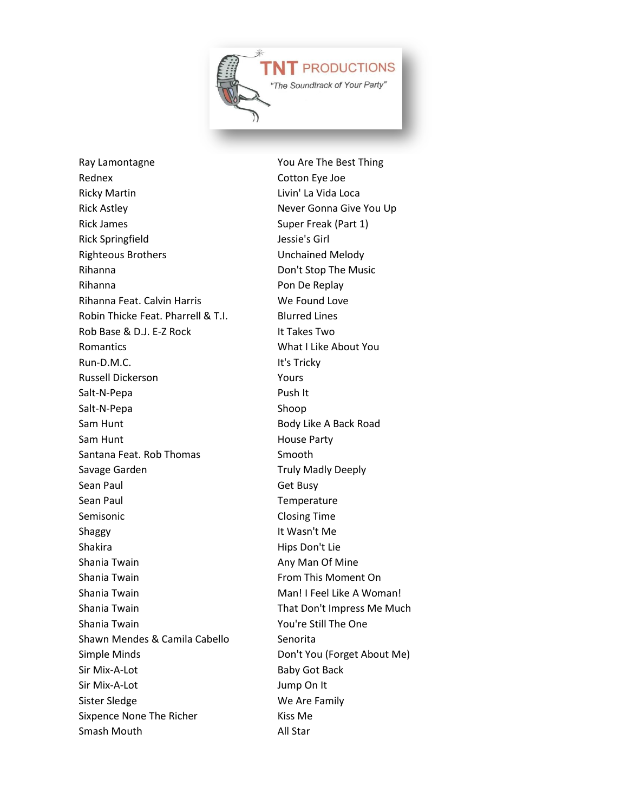

Ray Lamontagne The Best Thing Rednex Cotton Eye Joe Ricky Martin **Livin' La Vida Loca** Rick Astley Never Gonna Give You Up Rick James Super Freak (Part 1) Rick Springfield Jessie's Girl Righteous Brothers **Exercise Setup Engineers** Unchained Melody Rihanna **Don't Stop The Music** Rihanna **Pon De Replay** Rihanna Feat. Calvin Harris We Found Love Robin Thicke Feat. Pharrell & T.I. Blurred Lines Rob Base & D.J. E-Z Rock It Takes Two Romantics What I Like About You Run-D.M.C. **It's Tricky** Russell Dickerson Yours Salt-N-Pepa Push It Salt-N-Pepa Shoop Sam Hunt Body Like A Back Road Sam Hunt **House Party** Santana Feat. Rob Thomas Smooth Savage Garden Truly Madly Deeply Sean Paul **Get Busy** Sean Paul **Temperature** Semisonic Closing Time Shaggy **It Wasn't Me** Shakira Hips Don't Lie Shania Twain **Any Man Of Mine** Any Man Of Mine Shania Twain **From This Moment On** Shania Twain Man! I Feel Like A Woman! Shania Twain That Don't Impress Me Much Shania Twain **You're Still The One** Shawn Mendes & Camila Cabello Senorita Simple Minds **Don't You (Forget About Me)** Sir Mix-A-Lot Baby Got Back Sir Mix-A-Lot Jump On It Sister Sledge We Are Family Sixpence None The Richer Kiss Me Smash Mouth **All Star**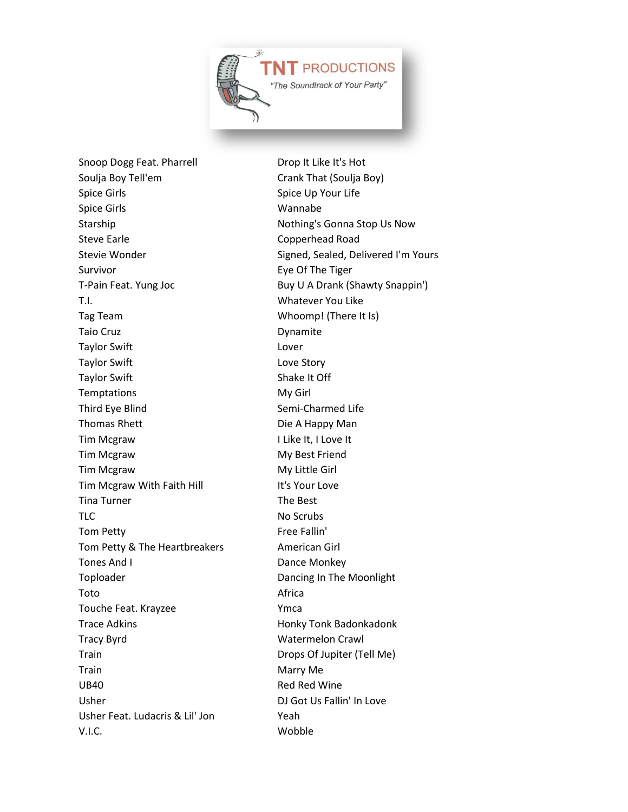

Snoop Dogg Feat. Pharrell Drop It Like It's Hot Soulja Boy Tell'em Crank That (Soulja Boy) Spice Girls Spice Up Your Life Spice Girls **Wannabe** Starship Nothing's Gonna Stop Us Now Steve Earle **Copperhead Road** Survivor **Eye Of The Tiger** T.I. Whatever You Like Tag Team Whoomp! (There It Is) Taio Cruz **Dynamite** Taylor Swift **Lover** Taylor Swift **Love Story** Taylor Swift Shake It Off Temptations My Girl Third Eye Blind Semi-Charmed Life Thomas Rhett Die A Happy Man Tim Mcgraw I Like It, I Love It Tim Mcgraw My Best Friend Tim Mcgraw My Little Girl Tim Mcgraw With Faith Hill It's Your Love Tina Turner The Best TLC No Scrubs Tom Petty **Free Fallin'** Tom Petty & The Heartbreakers American Girl Tones And I Dance Monkey Toploader **Dancing In The Moonlight** Toto Africa Touche Feat. Krayzee Ymca Trace Adkins **Honky Tonk Badonkadonk** Tracy Byrd Watermelon Crawl Train Drops Of Jupiter (Tell Me) Train Marry Me UB40 Red Red Wine Usher DJ Got Us Fallin' In Love Usher Feat. Ludacris & Lil' Jon Yeah V.I.C. Wobble

Stevie Wonder Stevie Wonder Signed, Sealed, Delivered I'm Yours T-Pain Feat. Yung Joc Buy U A Drank (Shawty Snappin')